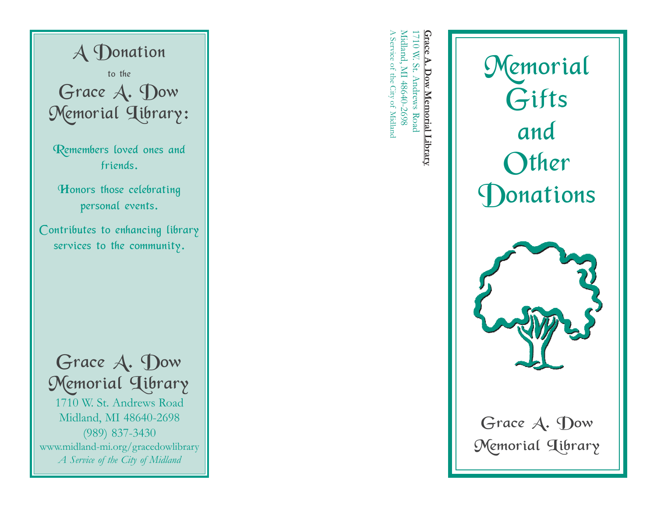

A Service of 1710 W. St. Andrews Road<br>Midland, MI 48640-2698 Midland, MI 48640-2698 Grace A. Dow Memorial Library **Grace A. Dow Memorial Library** 1710 W. St. Andrews Road the City of Midland



Grace A. Dow Memorial Library